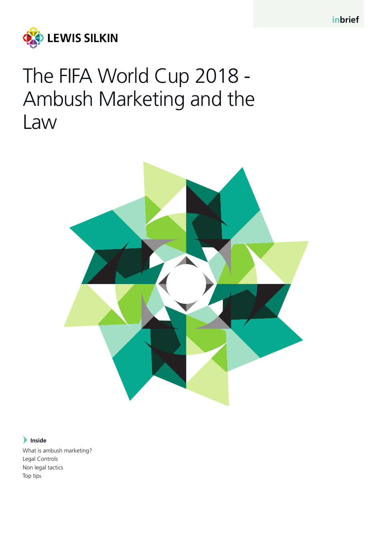

# The FIFA World Cup 2018 - Ambush Marketing and the Law



# **Inside**

What is ambush marketing? Legal Controls Non legal tactics Top tips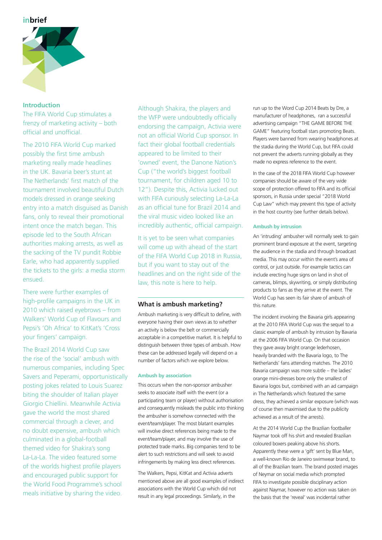

## **Introduction**

The FIFA World Cup stimulates a frenzy of marketing activity – both official and unofficial.

The 2010 FIFA World Cup marked possibly the first time ambush marketing really made headlines in the UK. Bavaria beer's stunt at The Netherlands' first match of the tournament involved beautiful Dutch models dressed in orange seeking entry into a match disguised as Danish fans, only to reveal their promotional intent once the match began. This episode led to the South African authorities making arrests, as well as the sacking of the TV pundit Robbie Earle, who had apparently supplied the tickets to the girls: a media storm ensued.

There were further examples of high-profile campaigns in the UK in 2010 which raised eyebrows – from Walkers' World Cup of Flavours and Pepsi's 'Oh Africa' to KitKat's 'Cross your fingers' campaign.

The Brazil 2014 World Cup saw the rise of the 'social' ambush with numerous companies, including Spec Savers and Peperami, opportunistically posting jokes related to Louis Suarez biting the shoulder of Italian player Giorgio Chiellini. Meanwhile Activia gave the world the most shared commercial through a clever, and no doubt expensive, ambush which culminated in a global-football themed video for Shakira's song La-La-La. The video featured some of the worlds highest profile players and encouraged public support for the World Food Programme's school meals initiative by sharing the video.

Although Shakira, the players and the WFP were undoubtedly officially endorsing the campaign, Activia were not an official World Cup sponsor. In fact their global football credentials appeared to be limited to their 'owned' event, the Danone Nation's Cup ("the world's biggest football tournament, for children aged 10 to 12"). Despite this, Activia lucked out with FIFA curiously selecting La-La-La as an official tune for Brazil 2014 and the viral music video looked like an incredibly authentic, official campaign.

It is yet to be seen what companies will come up with ahead of the start of the FIFA World Cup 2018 in Russia, but if you want to stay out of the headlines and on the right side of the law, this note is here to help.

# **What is ambush marketing?**

Ambush marketing is very difficult to define, with everyone having their own views as to whether an activity is below the belt or commercially acceptable in a competitive market. It is helpful to distinguish between three types of ambush. How these can be addressed legally will depend on a number of factors which we explore below.

## **Ambush by association**

This occurs when the non-sponsor ambusher seeks to associate itself with the event (or a participating team or player) without authorisation and consequently misleads the public into thinking the ambusher is somehow connected with the event/team/player. The most blatant examples will involve direct references being made to the event/team/player, and may involve the use of protected trade marks. Big companies tend to be alert to such restrictions and will seek to avoid infringements by making less direct references.

The Walkers, Pepsi, KitKat and Activia adverts mentioned above are all good examples of indirect associations with the World Cup which did not result in any legal proceedings. Similarly, in the

run up to the Word Cup 2014 Beats by Dre, a manufacturer of headphones, ran a successful advertising campaign "THE GAME BEFORE THE GAME" featuring football stars promoting Beats. Players were banned from wearing headphones at the stadia during the World Cup, but FIFA could not prevent the adverts running globally as they made no express reference to the event.

In the case of the 2018 FIFA World Cup however companies should be aware of the very wide scope of protection offered to FIFA and its official sponsors, in Russia under special "2018 World Cup Law" which may prevent this type of activity in the host country (see further details below).

## **Ambush by intrusion**

An 'intruding' ambusher will normally seek to gain prominent brand exposure at the event, targeting the audience in the stadia and through broadcast media. This may occur within the event's area of control, or just outside. For example tactics can include erecting huge signs on land in shot of cameras, blimps, skywriting, or simply distributing products to fans as they arrive at the event. The World Cup has seen its fair share of ambush of this nature.

The incident involving the Bavaria girls appearing at the 2010 FIFA World Cup was the sequel to a classic example of ambush by intrusion by Bavaria at the 2006 FIFA World Cup. On that occasion they gave away bright orange lederhosen, heavily branded with the Bavaria logo, to The Netherlands' fans attending matches. The 2010 Bavaria campaign was more subtle – the ladies' orange mini-dresses bore only the smallest of Bavaria logos but, combined with an ad campaign in The Netherlands which featured the same dress, they achieved a similar exposure (which was of course then maximised due to the publicity achieved as a result of the arrests).

At the 2014 World Cup the Brazilian footballer Naymar took off his shirt and revealed Brazilian coloured boxers peaking above his shorts. Apparently these were a 'gift' sent by Blue Man, a well-known Rio de Janeiro swimwear brand, to all of the Brazilian team. The brand posted images of Neymar on social media which prompted FIFA to investigate possible disciplinary action against Naymar, however no action was taken on the basis that the 'reveal' was incidental rather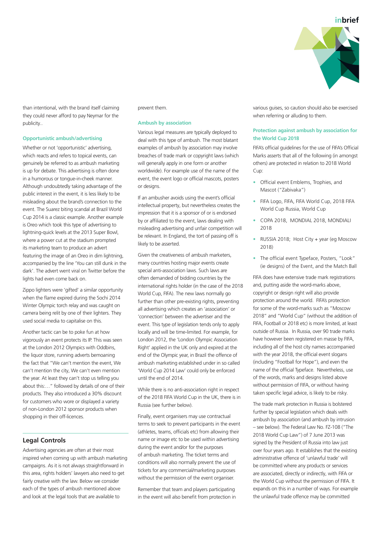

than intentional, with the brand itself claiming they could never afford to pay Neymar for the publicity..

#### **Opportunistic ambush/advertising**

Whether or not 'opportunistic' advertising, which reacts and refers to topical events, can genuinely be referred to as ambush marketing is up for debate. This advertising is often done in a humorous or tongue-in-cheek manner. Although undoubtedly taking advantage of the public interest in the event, it is less likely to be misleading about the brand's connection to the event. The Suarez biting scandal at Brazil World Cup 2014 is a classic example. Another example is Oreo which took this type of advertising to lightning-quick levels at the 2013 Super Bowl, where a power cut at the stadium prompted its marketing team to produce an advert featuring the image of an Oreo in dim lightning, accompanied by the line 'You can still dunk in the dark'. The advert went viral on Twitter before the lights had even come back on.

Zippo lighters were 'gifted' a similar opportunity when the flame expired during the Sochi 2014 Winter Olympic torch relay and was caught on camera being relit by one of their lighters. They used social media to capitalise on this.

Another tactic can be to poke fun at how vigorously an event protects its IP. This was seen at the London 2012 Olympics with Oddbins, the liquor store, running adverts bemoaning the fact that "We can't mention the event, We can't mention the city, We can't even mention the year. At least they can't stop us telling you about this:…" followed by details of one of their products. They also introduced a 30% discount for customers who wore or displayed a variety of non-London 2012 sponsor products when shopping in their off-licences.

## **Legal Controls**

Advertising agencies are often at their most inspired when coming up with ambush marketing campaigns. As it is not always straightforward in this area, rights holders' lawyers also need to get fairly creative with the law. Below we consider each of the types of ambush mentioned above and look at the legal tools that are available to

#### prevent them.

#### **Ambush by association**

Various legal measures are typically deployed to deal with this type of ambush. The most blatant examples of ambush by association may involve breaches of trade mark or copyright laws (which will generally apply in one form or another worldwide). For example use of the name of the event, the event logo or official mascots, posters or designs.

If an ambusher avoids using the event's official intellectual property, but nevertheless creates the impression that it is a sponsor of or is endorsed by or affiliated to the event, laws dealing with misleading advertising and unfair competition will be relevant. In England, the tort of passing off is likely to be asserted.

Given the creativeness of ambush marketers, many countries hosting major events create special anti-association laws. Such laws are often demanded of bidding countries by the international rights holder (in the case of the 2018 World Cup, FIFA). The new laws normally go further than other pre-existing rights, preventing all advertising which creates an 'association' or 'connection' between the advertiser and the event. This type of legislation tends only to apply locally and will be time-limited. For example, for London 2012, the 'London Olympic Association Right' applied in the UK only and expired at the end of the Olympic year, in Brazil the offence of ambush marketing established under in so called 'World Cup 2014 Law' could only be enforced until the end of 2014.

While there is no anti-association right in respect of the 2018 FIFA World Cup in the UK, there is in Russia (see further below).

Finally, event organisers may use contractual terms to seek to prevent participants in the event (athletes, teams, officials etc) from allowing their name or image etc to be used within advertising during the event and/or for the purposes of ambush marketing. The ticket terms and conditions will also normally prevent the use of tickets for any commercial/marketing purposes without the permission of the event organiser.

Remember that team and players participating in the event will also benefit from protection in

various guises, so caution should also be exercised when referring or alluding to them.

## **Protection against ambush by association for the World Cup 2018**

FIFA's official guidelines for the use of FIFA's Official Marks asserts that all of the following (in amongst others) are protected in relation to 2018 World Cup:

- Official event Emblems, Trophies, and Mascot ("Zabivaka")
- FIFA Logo, FIFA, FIFA World Cup, 2018 FIFA World Cup Russia, World Cup
- COPA 2018, MONDIAL 2018, MONDIALI 2018
- RUSSIA 2018; Host City + year (eg Moscow 2018)
- The official event Typeface, Posters, "Look" (ie designs) of the Event, and the Match Ball

FIFA does have extensive trade mark registrations and, putting aside the word-marks above, copyright or design right will also provide protection around the world. FIFA's protection for some of the word-marks such as "Moscow 2018" and "World Cup" (without the addition of FIFA, Football or 2018 etc) is more limited, at least outside of Russia. In Russia, over 90 trade marks have however been registered en masse by FIFA, including all of the host city names accompanied with the year 2018, the official event slogans (including "Football for Hope"), and even the name of the official Typeface. Nevertheless, use of the words, marks and designs listed above without permission of FIFA, or without having taken specific legal advice, is likely to be risky.

The trade mark protection in Russia is bolstered further by special legislation which deals with ambush by association (and ambush by intrusion – see below). The Federal Law No. FZ-108 ("The 2018 World Cup Law") of 7 June 2013 was signed by the President of Russia into law just over four years ago. It establishes that the existing administrative offence of 'unlawful trade' will be committed where any products or services are associated, directly or indirectly, with FIFA or the World Cup without the permission of FIFA. It expands on this in a number of ways. For example the unlawful trade offence may be committed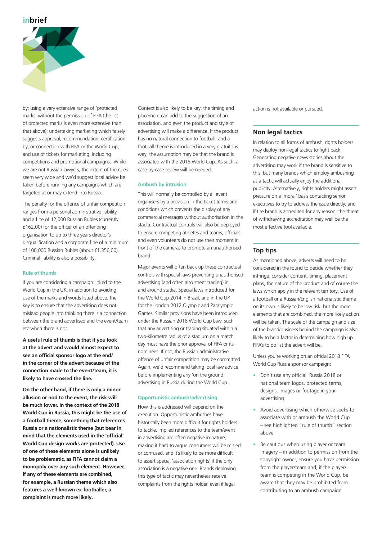

by: using a very extensive range of 'protected marks' without the permission of FIFA (the list of protected marks is even more extensive than that above); undertaking marketing which falsely suggests approval, recommendation, certification by, or connection with FIFA or the World Cup; and use of tickets for marketing, including competitions and promotional campaigns. While we are not Russian lawyers, the extent of the rules seem very wide and we'd suggest local advice be taken before running any campaigns which are targeted at or may extend into Russia.

The penalty for the offence of unfair competition ranges from a personal administrative liability and a fine of 12,000 Russian Rubles (currently £162,00) for the officer of an offending organisation to up to three years director's disqualification and a corporate fine of a minimum of 100,000 Russian Rubles (about £1.356,00). Criminal liability is also a possibility.

#### **Rule of thumb**

If you are considering a campaign linked to the World Cup in the UK, in addition to avoiding use of the marks and words listed above, the key is to ensure that the advertising does not mislead people into thinking there is a connection between the brand advertised and the event/team etc when there is not.

**A useful rule of thumb is that if you look at the advert and would almost expect to see an official sponsor logo at the end/ in the corner of the advert because of the connection made to the event/team, it is likely to have crossed the line.** 

**On the other hand, if there is only a minor allusion or nod to the event, the risk will be much lower. In the context of the 2018 World Cup in Russia, this might be the use of a football theme, something that references Russia or a nationalistic theme (but bear in mind that the elements used in the 'official' World Cup design works are protected). Use of one of these elements alone is unlikely to be problematic, as FIFA cannot claim a monopoly over any such element. However, if any of these elements are combined, for example, a Russian theme which also features a well-known ex-footballer, a complaint is much more likely.**

Context is also likely to be key: the timing and placement can add to the suggestion of an association, and even the product and style of advertising will make a difference. If the product has no natural connection to football, and a football theme is introduced in a very gratuitous way, the assumption may be that the brand is associated with the 2018 World Cup. As such, a case-by-case review will be needed.

#### **Ambush by intrusion**

This will normally be controlled by all event organisers by a provision in the ticket terms and conditions which prevents the display of any commercial messages without authorisation in the stadia. Contractual controls will also be deployed to ensure competing athletes and teams, officials and even volunteers do not use their moment in front of the cameras to promote an unauthorised brand.

Major events will often back up these contractual controls with special laws preventing unauthorised advertising (and often also street trading) in and around stadia. Special laws introduced for the World Cup 2014 in Brazil, and in the UK for the London 2012 Olympic and Paralympic Games. Similar provisions have been introduced under the Russian 2018 World Cup Law, such that any advertising or trading situated within a two-kilometre radius of a stadium on a match day must have the prior approval of FIFA or its nominees. If not, the Russian administrative offence of unfair competition may be committed. Again, we'd recommend taking local law advice before implementing any 'on the ground' advertising in Russia during the World Cup.

#### **Opportunistic ambush/advertising**

How this is addressed will depend on the execution. Opportunistic ambushes have historically been more difficult for rights holders to tackle. Implied references to the team/event in advertising are often negative in nature, making it hard to argue consumers will be misled or confused, and it's likely to be more difficult to assert special 'association rights' if the only association is a negative one. Brands deploying this type of tactic may nevertheless receive complaints from the rights holder, even if legal

action is not available or pursued.

#### **Non legal tactics**

In relation to all forms of ambush, rights holders may deploy non-legal tactics to fight back. Generating negative news stories about the advertising may work if the brand is sensitive to this, but many brands which employ ambushing as a tactic will actually enjoy the additional publicity. Alternatively, rights holders might assert pressure on a 'moral' basis contacting senior executives to try to address the issue directly, and if the brand is accredited for any reason, the threat of withdrawing accreditation may well be the most effective tool available.

## **Top tips**

As mentioned above, adverts will need to be considered in the round to decide whether they infringe: consider content, timing, placement plans, the nature of the product and of course the laws which apply in the relevant territory. Use of a football or a Russian/English nationalistic theme on its own is likely to be low risk, but the more elements that are combined, the more likely action will be taken. The scale of the campaign and size of the brand/business behind the campaign is also likely to be a factor in determining how high up FIFA's to do list the advert will be.

Unless you're working on an official 2018 FIFA World Cup Russia sponsor campaign:

- Don't use any official Russia 2018 or national team logos, protected terms, designs, images or footage in your advertising
- Avoid advertising which otherwise seeks to associate with or ambush the World Cup – see highlighted "rule of thumb" section above
- Be cautious when using player or team imagery – in addition to permission from the copyright owner, ensure you have permission from the player/team and, if the player/ team is competing in the World Cup, be aware that they may be prohibited from contributing to an ambush campaign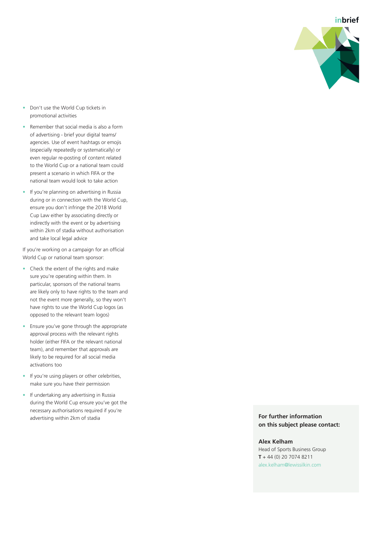

- Don't use the World Cup tickets in promotional activities
- Remember that social media is also a form of advertising - brief your digital teams/ agencies. Use of event hashtags or emojis (especially repeatedly or systematically) or even regular re-posting of content related to the World Cup or a national team could present a scenario in which FIFA or the national team would look to take action
- If you're planning on advertising in Russia during or in connection with the World Cup, ensure you don't infringe the 2018 World Cup Law either by associating directly or indirectly with the event or by advertising within 2km of stadia without authorisation and take local legal advice

If you're working on a campaign for an official World Cup or national team sponsor:

- Check the extent of the rights and make sure you're operating within them. In particular, sponsors of the national teams are likely only to have rights to the team and not the event more generally, so they won't have rights to use the World Cup logos (as opposed to the relevant team logos)
- Ensure you've gone through the appropriate approval process with the relevant rights holder (either FIFA or the relevant national team), and remember that approvals are likely to be required for all social media activations too
- If you're using players or other celebrities, make sure you have their permission
- If undertaking any advertising in Russia during the World Cup ensure you've got the necessary authorisations required if you're advertising within 2km of stadia

**For further information on this subject please contact:**

**Alex Kelham**

Head of Sports Business Group **T** + 44 (0) 20 7074 8211 alex.kelham@lewissilkin.com